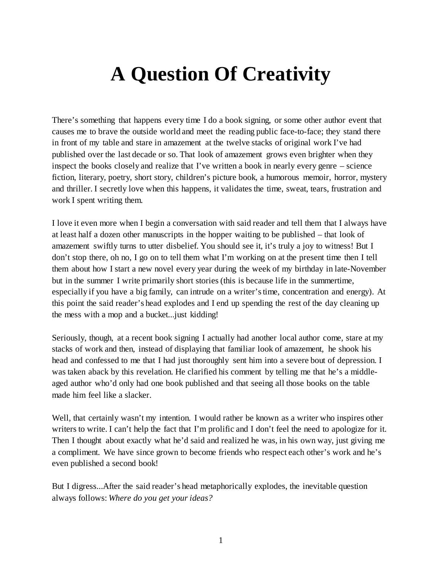## **A Question Of Creativity**

There's something that happens every time I do a book signing, or some other author event that causes me to brave the outside world and meet the reading public face-to-face; they stand there in front of my table and stare in amazement at the twelve stacks of original work I've had published over the last decade or so. That look of amazement grows even brighter when they inspect the books closely and realize that I've written a book in nearly every genre – science fiction, literary, poetry, short story, children's picture book, a humorous memoir, horror, mystery and thriller. I secretly love when this happens, it validates the time, sweat, tears, frustration and work I spent writing them.

I love it even more when I begin a conversation with said reader and tell them that I always have at least half a dozen other manuscripts in the hopper waiting to be published – that look of amazement swiftly turns to utter disbelief. You should see it, it's truly a joy to witness! But I don't stop there, oh no, I go on to tell them what I'm working on at the present time then I tell them about how I start a new novel every year during the week of my birthday in late-November but in the summer I write primarily short stories (this is because life in the summertime, especially if you have a big family, can intrude on a writer's time, concentration and energy). At this point the said reader's head explodes and I end up spending the rest of the day cleaning up the mess with a mop and a bucket...just kidding!

Seriously, though, at a recent book signing I actually had another local author come, stare at my stacks of work and then, instead of displaying that familiar look of amazement, he shook his head and confessed to me that I had just thoroughly sent him into a severe bout of depression. I was taken aback by this revelation. He clarified his comment by telling me that he's a middleaged author who'd only had one book published and that seeing all those books on the table made him feel like a slacker.

Well, that certainly wasn't my intention. I would rather be known as a writer who inspires other writers to write. I can't help the fact that I'm prolific and I don't feel the need to apologize for it. Then I thought about exactly what he'd said and realized he was, in his own way, just giving me a compliment. We have since grown to become friends who respect each other's work and he's even published a second book!

But I digress...After the said reader's head metaphorically explodes, the inevitable question always follows: *Where do you get your ideas?*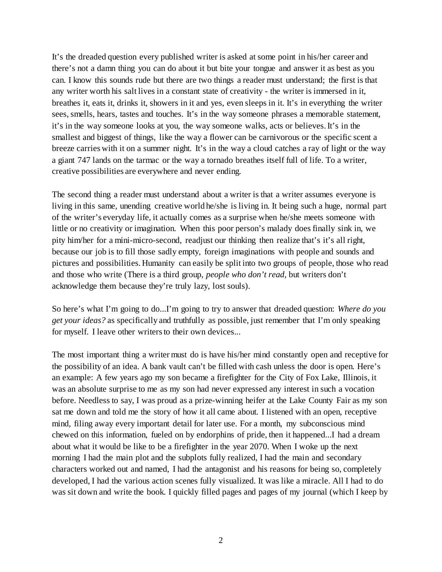It's the dreaded question every published writer is asked at some point in his/her career and there's not a damn thing you can do about it but bite your tongue and answer it as best as you can. I know this sounds rude but there are two things a reader must understand; the first is that any writer worth his salt lives in a constant state of creativity - the writer is immersed in it, breathes it, eats it, drinks it, showers in it and yes, even sleeps in it. It's in everything the writer sees, smells, hears, tastes and touches. It's in the way someone phrases a memorable statement, it's in the way someone looks at you, the way someone walks, acts or believes. It's in the smallest and biggest of things, like the way a flower can be carnivorous or the specific scent a breeze carries with it on a summer night. It's in the way a cloud catches a ray of light or the way a giant 747 lands on the tarmac or the way a tornado breathes itself full of life. To a writer, creative possibilities are everywhere and never ending.

The second thing a reader must understand about a writer is that a writer assumes everyone is living in this same, unending creative world he/she is living in. It being such a huge, normal part of the writer's everyday life, it actually comes as a surprise when he/she meets someone with little or no creativity or imagination. When this poor person's malady does finally sink in, we pity him/her for a mini-micro-second, readjust our thinking then realize that's it's all right, because our job is to fill those sadly empty, foreign imaginations with people and sounds and pictures and possibilities. Humanity can easily be split into two groups of people, those who read and those who write (There is a third group, *people who don't read*, but writers don't acknowledge them because they're truly lazy, lost souls).

So here's what I'm going to do...I'm going to try to answer that dreaded question: *Where do you get your ideas?* as specifically and truthfully as possible, just remember that I'm only speaking for myself. I leave other writers to their own devices...

The most important thing a writer must do is have his/her mind constantly open and receptive for the possibility of an idea. A bank vault can't be filled with cash unless the door is open. Here's an example: A few years ago my son became a firefighter for the City of Fox Lake, Illinois, it was an absolute surprise to me as my son had never expressed any interest in such a vocation before. Needless to say, I was proud as a prize-winning heifer at the Lake County Fair as my son sat me down and told me the story of how it all came about. I listened with an open, receptive mind, filing away every important detail for later use. For a month, my subconscious mind chewed on this information, fueled on by endorphins of pride, then it happened...I had a dream about what it would be like to be a firefighter in the year 2070. When I woke up the next morning I had the main plot and the subplots fully realized, I had the main and secondary characters worked out and named, I had the antagonist and his reasons for being so, completely developed, I had the various action scenes fully visualized. It was like a miracle. All I had to do was sit down and write the book. I quickly filled pages and pages of my journal (which I keep by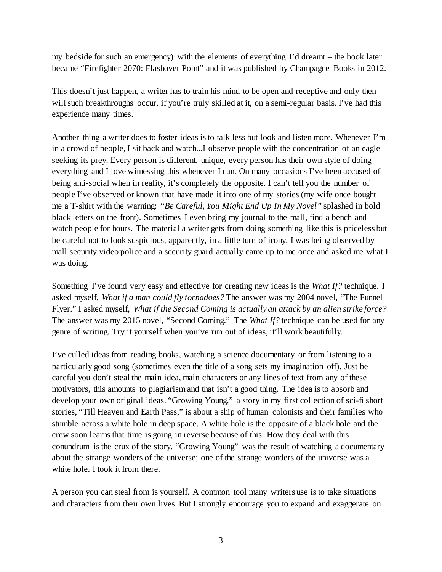my bedside for such an emergency) with the elements of everything I'd dreamt – the book later became "Firefighter 2070: Flashover Point" and it was published by Champagne Books in 2012.

This doesn't just happen, a writer has to train his mind to be open and receptive and only then will such breakthroughs occur, if you're truly skilled at it, on a semi-regular basis. I've had this experience many times.

Another thing a writer does to foster ideas is to talk less but look and listen more. Whenever I'm in a crowd of people, I sit back and watch...I observe people with the concentration of an eagle seeking its prey. Every person is different, unique, every person has their own style of doing everything and I love witnessing this whenever I can. On many occasions I've been accused of being anti-social when in reality, it's completely the opposite. I can't tell you the number of people I've observed or known that have made it into one of my stories (my wife once bought me a T-shirt with the warning: *"Be Careful, You Might End Up In My Novel"* splashed in bold black letters on the front). Sometimes I even bring my journal to the mall, find a bench and watch people for hours. The material a writer gets from doing something like this is priceless but be careful not to look suspicious, apparently, in a little turn of irony, I was being observed by mall security video police and a security guard actually came up to me once and asked me what I was doing.

Something I've found very easy and effective for creating new ideas is the *What If?* technique. I asked myself, *What if a man could fly tornadoes?* The answer was my 2004 novel, "The Funnel Flyer." I asked myself, *What if the Second Coming is actually an attack by an alien strike force?* The answer was my 2015 novel, "Second Coming." The *What If?* technique can be used for any genre of writing. Try it yourself when you've run out of ideas, it'll work beautifully.

I've culled ideas from reading books, watching a science documentary or from listening to a particularly good song (sometimes even the title of a song sets my imagination off). Just be careful you don't steal the main idea, main characters or any lines of text from any of these motivators, this amounts to plagiarism and that isn't a good thing. The idea is to absorb and develop your own original ideas. "Growing Young," a story in my first collection of sci-fi short stories, "Till Heaven and Earth Pass," is about a ship of human colonists and their families who stumble across a white hole in deep space. A white hole is the opposite of a black hole and the crew soon learns that time is going in reverse because of this. How they deal with this conundrum is the crux of the story. "Growing Young" was the result of watching a documentary about the strange wonders of the universe; one of the strange wonders of the universe was a white hole. I took it from there.

A person you can steal from is yourself. A common tool many writers use is to take situations and characters from their own lives. But I strongly encourage you to expand and exaggerate on